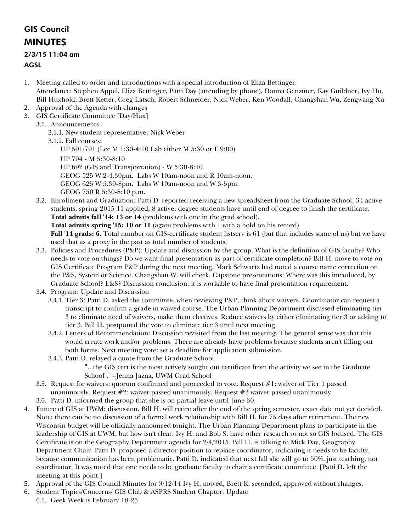## GIS Council MINUTES

## 2/3/15 11:04 am

## AGSL

- 1. Meeting called to order and introductions with a special introduction of Eliza Bettinger. Attendance: Stephen Appel, Eliza Bettinger, Patti Day (attending by phone), Donna Genzmer, Kay Guildner, Ivy Hu, Bill Huxhold, Brett Ketter, Greg Latsch, Robert Schneider, Nick Weber, Ken Woodall, Changshan Wu, Zengwang Xu
- 2. Approval of the Agenda with changes
- 3. GIS Certificate Committee [Day/Hux]
	- 3.1. Announcements:

3.1.1. New student representative: Nick Weber.

- 3.1.2. Fall courses: UP 591/791 (Lec M 1:30-4:10 Lab either M 5:30 or F 9:00) UP 794 - M 5:30-8:10 UP 692 (GIS and Transportation) - W 5:30-8:10 GEOG 525 W 2-4.30pm. Labs W 10am-noon and R 10am-noon. GEOG 625 W 5.30-8pm. Labs W 10am-noon and W 3-5pm. GEOG 750 R 5:30-8:10 p.m.
- 3.2. Enrollment and Graduation: Patti D. reported receiving a new spreadsheet from the Graduate School; 34 active students, spring 2015 11 applied, 8 active; degree students have until end of degree to finish the certificate. **Total admits fall '14: 13 or 14** (problems with one in the grad school).

**Total admits spring '15: 10 or 11** (again problems with 1 with a hold on his record).

**Fall '14 grads: 6.** Total number on GIS-certificate student listserv is 61 (but that includes some of us) but we have used that as a proxy in the past as total number of students.

- 3.3. Policies and Procedures (P&P): Update and discussion by the group. What is the definition of GIS faculty? Who needs to vote on things? Do we want final presentation as part of certificate completion? Bill H. move to vote on GIS Certificate Program P&P during the next meeting. Mark Schwartz had noted a course name correction on the P&S, System or Science. Changshan W. will check. Capstone presentations: Where was this introduced, by Graduate School? L&S? Discussion conclusion: it is workable to have final presentation requirement.
- 3.4. Program: Update and Discussion
	- 3.4.1. Tier 3: Patti D. asked the committee, when reviewing P&P, think about waivers. Coordinator can request a transcript to confirm a grade in waived course. The Urban Planning Department discussed eliminating tier 3 to eliminate need of waivers, make them electives. Reduce waivers by either eliminating tier 3 or adding to tier 3. Bill H. postponed the vote to eliminate tier 3 until next meeting.
	- 3.4.2. Letters of Recommendation: Discussion revisited from the last meeting. The general sense was that this would create work and/or problems. There are already have problems because students aren't filling out both forms. Next meeting vote: set a deadline for application submission.
	- 3.4.3. Patti D. relayed a quote from the Graduate School:

"...the GIS cert is the most actively sought out certificate from the activity we see in the Graduate School"." –Jenna Jazna, UWM Grad School

- 3.5. Request for waivers: quorum confirmed and proceeded to vote. Request #1: waiver of Tier 1 passed unanimously. Request #2: waiver passed unanimously. Request #3 waiver passed unanimously.
- 3.6. Patti D. informed the group that she is on partial leave until June 30.
- 4. Future of GIS at UWM: discussion. Bill H. will retire after the end of the spring semester, exact date not yet decided. Note: there can be no discussion of a formal work relationship with Bill H. for 75 days after retirement. The new Wisconsin budget will be officially announced tonight. The Urban Planning Department plans to participate in the leadership of GIS at UWM, but how isn't clear. Ivy H. and Bob S. have other research so not so GIS focused. The GIS Certificate is on the Geography Department agenda for 2/4/2015. Bill H. is talking to Mick Day, Geography Department Chair. Patti D. proposed a director position to replace coordinator, indicating it needs to be faculty, because communication has been problematic. Patti D. indicated that next fall she will go to 50%, just teaching, not coordinator. It was noted that one needs to be graduate faculty to chair a certificate committee. [Patti D. left the meeting at this point.]
- 5. Approval of the GIS Council Minutes for 3/12/14 Ivy H. moved, Brett K. seconded, approved without changes.
- 6. Student Topics/Concerns/ GIS Club & ASPRS Student Chapter: Update
	- 6.1. Geek Week is February 18-25